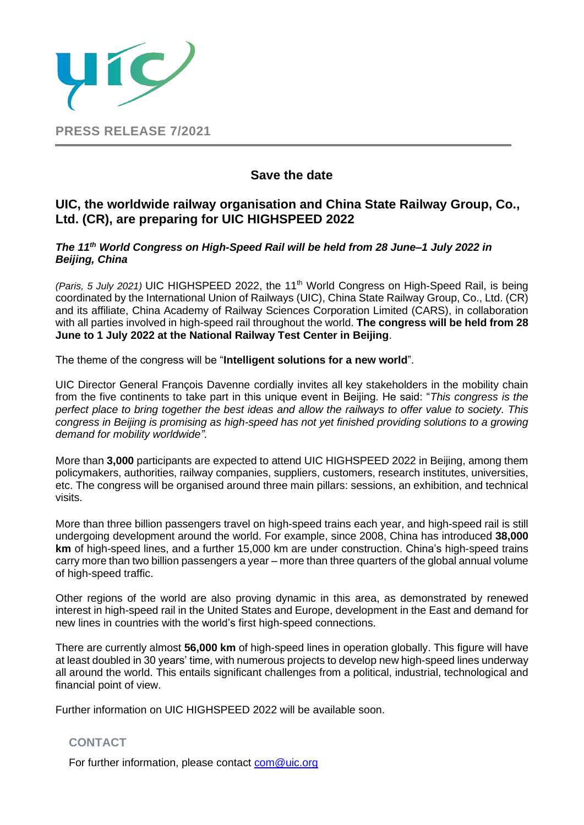

## **Save the date**

## **UIC, the worldwide railway organisation and China State Railway Group, Co., Ltd. (CR), are preparing for UIC HIGHSPEED 2022**

## *The 11th World Congress on High-Speed Rail will be held from 28 June–1 July 2022 in Beijing, China*

*(Paris, 5 July 2021)* UIC HIGHSPEED 2022, the 11th World Congress on High-Speed Rail, is being coordinated by the International Union of Railways (UIC), China State Railway Group, Co., Ltd. (CR) and its affiliate, China Academy of Railway Sciences Corporation Limited (CARS), in collaboration with all parties involved in high-speed rail throughout the world. **The congress will be held from 28 June to 1 July 2022 at the National Railway Test Center in Beijing**.

The theme of the congress will be "**Intelligent solutions for a new world**".

UIC Director General François Davenne cordially invites all key stakeholders in the mobility chain from the five continents to take part in this unique event in Beijing. He said: "*This congress is the perfect place to bring together the best ideas and allow the railways to offer value to society. This congress in Beijing is promising as high-speed has not yet finished providing solutions to a growing demand for mobility worldwide".*

More than **3,000** participants are expected to attend UIC HIGHSPEED 2022 in Beijing, among them policymakers, authorities, railway companies, suppliers, customers, research institutes, universities, etc. The congress will be organised around three main pillars: sessions, an exhibition, and technical visits.

More than three billion passengers travel on high-speed trains each year, and high-speed rail is still undergoing development around the world. For example, since 2008, China has introduced **38,000 km** of high-speed lines, and a further 15,000 km are under construction. China's high-speed trains carry more than two billion passengers a year – more than three quarters of the global annual volume of high-speed traffic.

Other regions of the world are also proving dynamic in this area, as demonstrated by renewed interest in high-speed rail in the United States and Europe, development in the East and demand for new lines in countries with the world's first high-speed connections.

There are currently almost **56,000 km** of high-speed lines in operation globally. This figure will have at least doubled in 30 years' time, with numerous projects to develop new high-speed lines underway all around the world. This entails significant challenges from a political, industrial, technological and financial point of view.

Further information on UIC HIGHSPEED 2022 will be available soon.

## **CONTACT**

For further information, please contact [com@uic.org](file://///TRINIDAD/communic/Communiqués%20de%20presse/2019/cp24%20AG%20Budapest/com@uic.org)